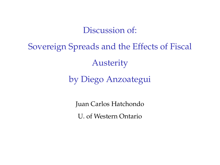Discussion of:

Sovereign Spreads and the Effects of Fiscal Austerity by Diego Anzoategui

> Juan Carlos Hatchondo U. of Western Ontario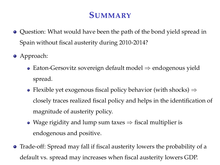# **SUMMARY**

- Question: What would have been the path of the bond yield spread in Spain without fiscal austerity during 2010-2014?
- Approach:
	- Eaton-Gersovitz sovereign default model ⇒ endogenous yield spread.
	- Flexible yet exogenous fiscal policy behavior (with shocks)  $\Rightarrow$ closely traces realized fiscal policy and helps in the identification of magnitude of austerity policy.
	- Wage rigidity and lump sum taxes  $\Rightarrow$  fiscal multiplier is endogenous and positive.
- Trade-off: Spread may fall if fiscal austerity lowers the probability of a default vs. spread may increases when fiscal austerity lowers GDP.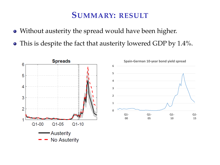## **SUMMARY: RESULT**

- Without austerity the spread would have been higher.
- This is despite the fact that austerity lowered GDP by 1.4%.

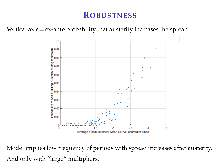### **ROBUSTNESS**

Vertical axis = ex-ante probability that austerity increases the spread



Model implies low frequency of periods with spread increases after austerity. And only with "large" multipliers.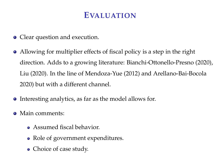## **EVALUATION**

- Clear question and execution.
- Allowing for multiplier effects of fiscal policy is a step in the right direction. Adds to a growing literature: Bianchi-Ottonello-Presno (2020), Liu (2020). In the line of Mendoza-Yue (2012) and Arellano-Bai-Bocola 2020) but with a different channel.
- Interesting analytics, as far as the model allows for.
- Main comments:
	- Assumed fiscal behavior.
	- Role of government expenditures.
	- Choice of case study.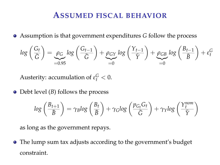#### **ASSUMED FISCAL BEHAVIOR**

Assumption is that government expenditures *G* follow the process

$$
log\left(\frac{G_t}{\bar{G}}\right) = \underbrace{\rho_G}_{=0.95} log\left(\frac{G_{t-1}}{\bar{G}}\right) + \underbrace{\rho_{GY}}_{=0} log\left(\frac{Y_{t-1}}{\bar{Y}}\right) + \underbrace{\rho_{GB}}_{=0} log\left(\frac{B_{t-1}}{\bar{B}}\right) + \varepsilon_t^G
$$

Austerity: accumulation of  $\varepsilon_t^G < 0$ .

• Debt level (*B*) follows the process

$$
log\left(\frac{B_{t+1}}{\bar{B}}\right) = \gamma_B log\left(\frac{B_t}{\bar{B}}\right) + \gamma_G log\left(\frac{p_{G_t} G_t}{\bar{G}}\right) + \gamma_Y log\left(\frac{Y_t^{nom}}{\bar{Y}}\right)
$$

as long as the government repays.

The lump sum tax adjusts according to the government's budget constraint.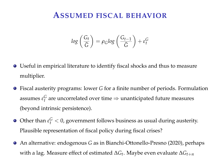#### **ASSUMED FISCAL BEHAVIOR**

$$
log\left(\frac{G_t}{\bar{G}}\right) = \rho_G log\left(\frac{G_{t-1}}{\bar{G}}\right) + \varepsilon_t^G
$$

- Useful in empirical literature to identify fiscal shocks and thus to measure multiplier.
- Fiscal austerity programs: lower *G* for a finite number of periods. Formulation assumes  $\varepsilon_t^G$  are uncorrelated over time  $\Rightarrow$  unanticipated future measures (beyond intrinsic persistence).
- Other than  $\varepsilon_t^G < 0$ , government follows business as usual during austerity. Plausible representation of fiscal policy during fiscal crises?
- An alternative: endogenous *G* as in Bianchi-Ottonello-Presno (2020), perhaps with a lag. Measure effect of estimated ∆*G<sup>t</sup>* . Maybe even evaluate ∆*Gt*+*<sup>n</sup>*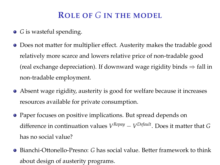# **ROLE OF** *G* **IN THE MODEL**

- *G* is wasteful spending.
- Does not matter for multiplier effect. Austerity makes the tradable good relatively more scarce and lowers relative price of non-tradable good (real exchange depreciation). If downward wage rigidity binds  $\Rightarrow$  fall in non-tradable employment.
- Absent wage rigidity, austerity is good for welfare because it increases resources available for private consumption.
- Paper focuses on positive implications. But spread depends on difference in continuation values *V Repay* − *V Default*. Does it matter that *G* has no social value?
- Bianchi-Ottonello-Presno: *G* has social value. Better framework to think about design of austerity programs.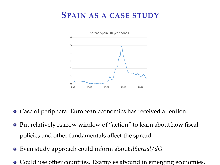## **SPAIN AS A CASE STUDY**



- Case of peripheral European economies has received attention.
- But relatively narrow window of "action" to learn about how fiscal policies and other fundamentals affect the spread.
- Even study approach could inform about *dSpread*/*dG*.
- Could use other countries. Examples abound in emerging economies.